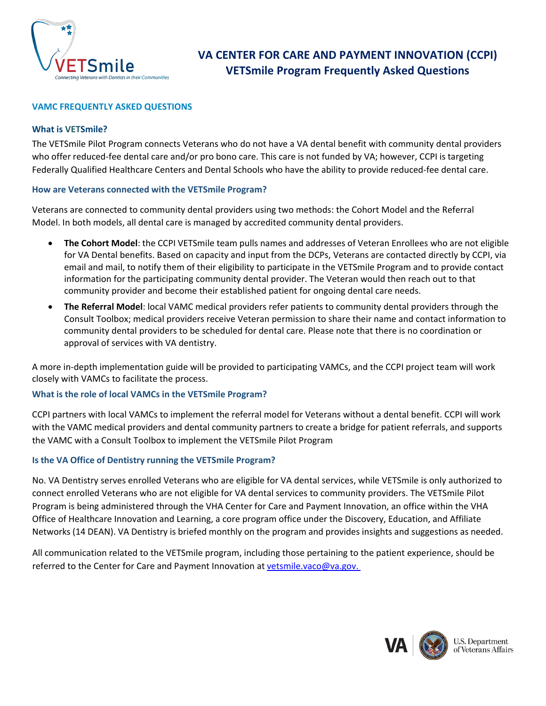

### **VAMC FREQUENTLY ASKED QUESTIONS**

#### **What is VETSmile?**

The VETSmile Pilot Program connects Veterans who do not have a VA dental benefit with community dental providers who offer reduced-fee dental care and/or pro bono care. This care is not funded by VA; however, CCPI is targeting Federally Qualified Healthcare Centers and Dental Schools who have the ability to provide reduced-fee dental care.

### **How are Veterans connected with the VETSmile Program?**

Veterans are connected to community dental providers using two methods: the Cohort Model and the Referral Model. In both models, all dental care is managed by accredited community dental providers.

- **The Cohort Model**: the CCPI VETSmile team pulls names and addresses of Veteran Enrollees who are not eligible for VA Dental benefits. Based on capacity and input from the DCPs, Veterans are contacted directly by CCPI, via email and mail, to notify them of their eligibility to participate in the VETSmile Program and to provide contact information for the participating community dental provider. The Veteran would then reach out to that community provider and become their established patient for ongoing dental care needs.
- **The Referral Model**: local VAMC medical providers refer patients to community dental providers through the Consult Toolbox; medical providers receive Veteran permission to share their name and contact information to community dental providers to be scheduled for dental care. Please note that there is no coordination or approval of services with VA dentistry.

A more in-depth implementation guide will be provided to participating VAMCs, and the CCPI project team will work closely with VAMCs to facilitate the process.

# **What is the role of local VAMCs in the VETSmile Program?**

CCPI partners with local VAMCs to implement the referral model for Veterans without a dental benefit. CCPI will work with the VAMC medical providers and dental community partners to create a bridge for patient referrals, and supports the VAMC with a Consult Toolbox to implement the VETSmile Pilot Program

# **Is the VA Office of Dentistry running the VETSmile Program?**

No. VA Dentistry serves enrolled Veterans who are eligible for VA dental services, while VETSmile is only authorized to connect enrolled Veterans who are not eligible for VA dental services to community providers. The VETSmile Pilot Program is being administered through the VHA Center for Care and Payment Innovation, an office within the VHA Office of Healthcare Innovation and Learning, a core program office under the Discovery, Education, and Affiliate Networks (14 DEAN). VA Dentistry is briefed monthly on the program and provides insights and suggestions as needed.

All communication related to the VETSmile program, including those pertaining to the patient experience, should be referred to the Center for Care and Payment Innovation a[t vetsmile.vaco@va.gov.](mailto:vetsmile.vaco@va.gov)